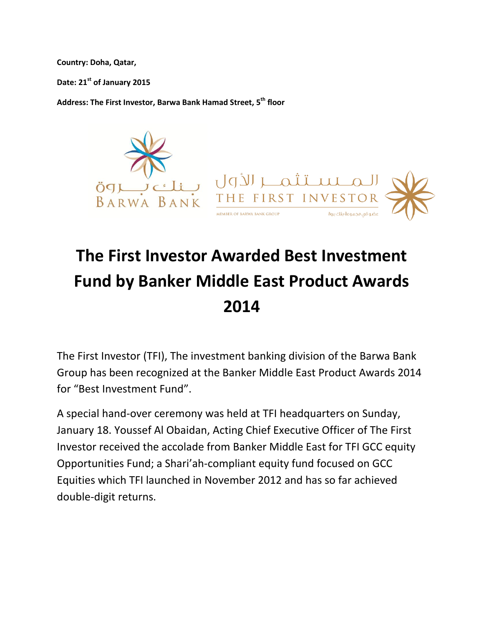**Country: Doha, Qatar,**

**Date: 21st of January 2015**

**Address: The First Investor, Barwa Bank Hamad Street, 5th floor**



## **The First Investor Awarded Best Investment Fund by Banker Middle East Product Awards 2014**

The First Investor (TFI), The investment banking division of the Barwa Bank Group has been recognized at the Banker Middle East Product Awards 2014 for "Best Investment Fund".

A special hand-over ceremony was held at TFI headquarters on Sunday, January 18. Youssef Al Obaidan, Acting Chief Executive Officer of The First Investor received the accolade from Banker Middle East for TFI GCC equity Opportunities Fund; a Shari'ah-compliant equity fund focused on GCC Equities which TFI launched in November 2012 and has so far achieved double-digit returns.